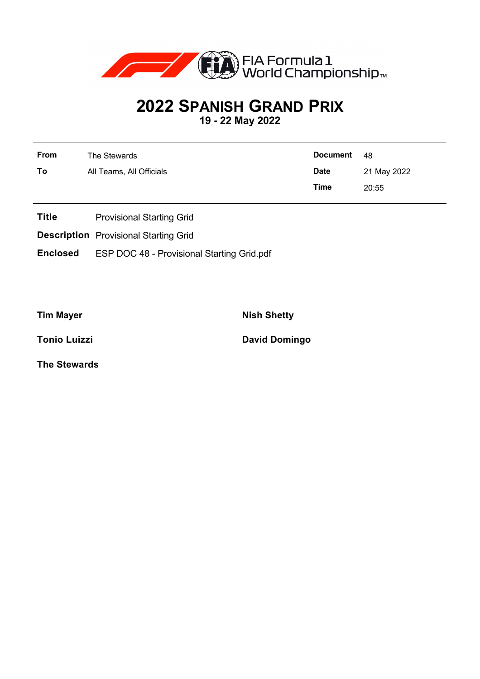

## **2022 SPANISH GRAND PRIX**

**19 - 22 May 2022**

| <b>From</b> | The Stewards             | <b>Document</b> | 48          |
|-------------|--------------------------|-----------------|-------------|
| To          | All Teams, All Officials | <b>Date</b>     | 21 May 2022 |
|             |                          | Time            | 20:55       |

- **Title** Provisional Starting Grid
- **Description** Provisional Starting Grid
- **Enclosed** ESP DOC 48 Provisional Starting Grid.pdf

**Tim Mayer Nish Shetty** 

**Tonio Luizzi David Domingo** 

**The Stewards**